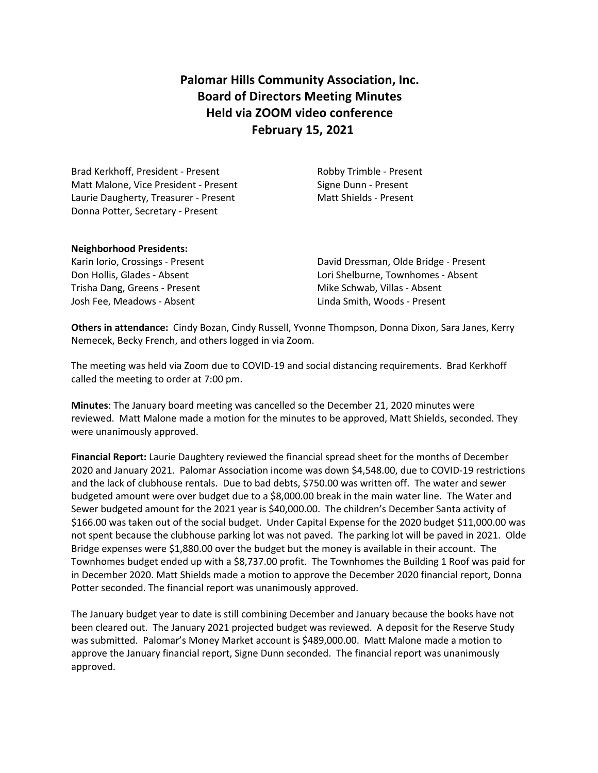# **Palomar Hills Community Association, Inc. Board of Directors Meeting Minutes Held via ZOOM video conference February 15, 2021**

Brad Kerkhoff, President - Present Robby Trimble - Present Matt Malone, Vice President - Present Signe Dunn - Present Laurie Daugherty, Treasurer - Present Matt Shields - Present Donna Potter, Secretary - Present

#### **Neighborhood Presidents:**

Trisha Dang, Greens - Present Trisha Dang, Greens - Present Mike Schwab, Villas - Absent Josh Fee, Meadows - Absent Linda Smith, Woods - Present

Karin Iorio, Crossings - Present David Dressman, Olde Bridge - Present Don Hollis, Glades - Absent Lori Shelburne, Townhomes - Absent

**Others in attendance:** Cindy Bozan, Cindy Russell, Yvonne Thompson, Donna Dixon, Sara Janes, Kerry Nemecek, Becky French, and others logged in via Zoom.

The meeting was held via Zoom due to COVID-19 and social distancing requirements. Brad Kerkhoff called the meeting to order at 7:00 pm.

**Minutes**: The January board meeting was cancelled so the December 21, 2020 minutes were reviewed. Matt Malone made a motion for the minutes to be approved, Matt Shields, seconded. They were unanimously approved.

**Financial Report:** Laurie Daughtery reviewed the financial spread sheet for the months of December 2020 and January 2021.Palomar Association income was down \$4,548.00, due to COVID-19 restrictions and the lack of clubhouse rentals. Due to bad debts, \$750.00 was written off. The water and sewer budgeted amount were over budget due to a \$8,000.00 break in the main water line. The Water and Sewer budgeted amount for the 2021 year is \$40,000.00. The children's December Santa activity of \$166.00 was taken out of the social budget. Under Capital Expense for the 2020 budget \$11,000.00 was not spent because the clubhouse parking lot was not paved. The parking lot will be paved in 2021. Olde Bridge expenses were \$1,880.00 over the budget but the money is available in their account. The Townhomes budget ended up with a \$8,737.00 profit. The Townhomes the Building 1 Roof was paid for in December 2020. Matt Shields made a motion to approve the December 2020 financial report, Donna Potter seconded. The financial report was unanimously approved.

The January budget year to date is still combining December and January because the books have not been cleared out. The January 2021 projected budget was reviewed. A deposit for the Reserve Study was submitted. Palomar's Money Market account is \$489,000.00. Matt Malone made a motion to approve the January financial report, Signe Dunn seconded. The financial report was unanimously approved.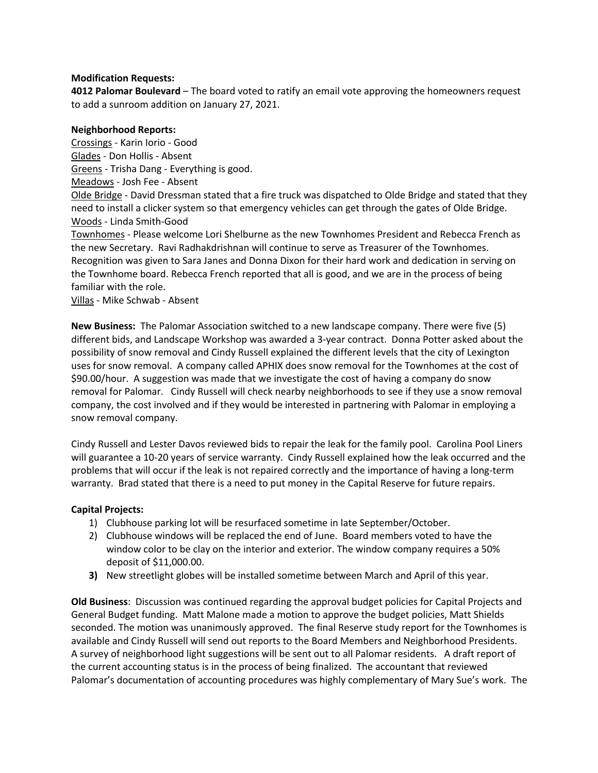#### **Modification Requests:**

**4012 Palomar Boulevard** – The board voted to ratify an email vote approving the homeowners request to add a sunroom addition on January 27, 2021.

#### **Neighborhood Reports:**

Crossings - Karin Iorio - Good Glades - Don Hollis - Absent Greens - Trisha Dang - Everything is good.

Meadows - Josh Fee - Absent

Olde Bridge - David Dressman stated that a fire truck was dispatched to Olde Bridge and stated that they need to install a clicker system so that emergency vehicles can get through the gates of Olde Bridge. Woods - Linda Smith-Good

Townhomes - Please welcome Lori Shelburne as the new Townhomes President and Rebecca French as the new Secretary. Ravi Radhakdrishnan will continue to serve as Treasurer of the Townhomes. Recognition was given to Sara Janes and Donna Dixon for their hard work and dedication in serving on the Townhome board. Rebecca French reported that all is good, and we are in the process of being familiar with the role.

Villas - Mike Schwab - Absent

**New Business:** The Palomar Association switched to a new landscape company. There were five (5) different bids, and Landscape Workshop was awarded a 3-year contract.Donna Potter asked about the possibility of snow removal and Cindy Russell explained the different levels that the city of Lexington uses for snow removal. A company called APHIX does snow removal for the Townhomes at the cost of \$90.00/hour. A suggestion was made that we investigate the cost of having a company do snow removal for Palomar. Cindy Russell will check nearby neighborhoods to see if they use a snow removal company, the cost involved and if they would be interested in partnering with Palomar in employing a snow removal company.

Cindy Russell and Lester Davos reviewed bids to repair the leak for the family pool. Carolina Pool Liners will guarantee a 10-20 years of service warranty. Cindy Russell explained how the leak occurred and the problems that will occur if the leak is not repaired correctly and the importance of having a long-term warranty. Brad stated that there is a need to put money in the Capital Reserve for future repairs.

# **Capital Projects:**

- 1) Clubhouse parking lot will be resurfaced sometime in late September/October.
- 2) Clubhouse windows will be replaced the end of June. Board members voted to have the window color to be clay on the interior and exterior. The window company requires a 50% deposit of \$11,000.00.
- **3)** New streetlight globes will be installed sometime between March and April of this year.

**Old Business**: Discussion was continued regarding the approval budget policies for Capital Projects and General Budget funding. Matt Malone made a motion to approve the budget policies, Matt Shields seconded. The motion was unanimously approved. The final Reserve study report for the Townhomes is available and Cindy Russell will send out reports to the Board Members and Neighborhood Presidents. A survey of neighborhood light suggestions will be sent out to all Palomar residents. A draft report of the current accounting status is in the process of being finalized. The accountant that reviewed Palomar's documentation of accounting procedures was highly complementary of Mary Sue's work. The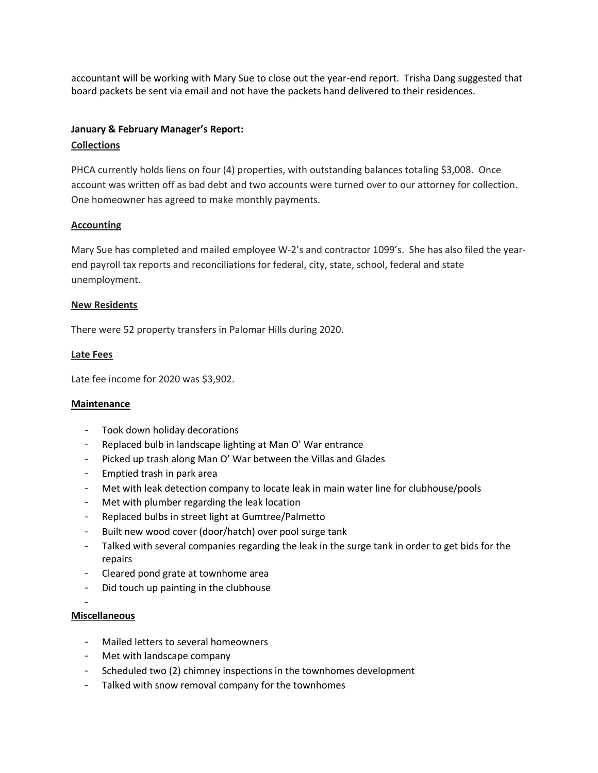accountant will be working with Mary Sue to close out the year-end report. Trisha Dang suggested that board packets be sent via email and not have the packets hand delivered to their residences.

# **January & February Manager's Report:**

#### **Collections**

PHCA currently holds liens on four (4) properties, with outstanding balances totaling \$3,008. Once account was written off as bad debt and two accounts were turned over to our attorney for collection. One homeowner has agreed to make monthly payments.

#### **Accounting**

Mary Sue has completed and mailed employee W-2's and contractor 1099's. She has also filed the yearend payroll tax reports and reconciliations for federal, city, state, school, federal and state unemployment.

#### **New Residents**

There were 52 property transfers in Palomar Hills during 2020.

### **Late Fees**

Late fee income for 2020 was \$3,902.

#### **Maintenance**

- Took down holiday decorations
- Replaced bulb in landscape lighting at Man O' War entrance
- Picked up trash along Man O' War between the Villas and Glades
- Emptied trash in park area
- Met with leak detection company to locate leak in main water line for clubhouse/pools
- Met with plumber regarding the leak location
- Replaced bulbs in street light at Gumtree/Palmetto
- Built new wood cover (door/hatch) over pool surge tank
- Talked with several companies regarding the leak in the surge tank in order to get bids for the repairs
- Cleared pond grate at townhome area
- Did touch up painting in the clubhouse
- -

# **Miscellaneous**

- Mailed letters to several homeowners
- Met with landscape company
- Scheduled two (2) chimney inspections in the townhomes development
- Talked with snow removal company for the townhomes